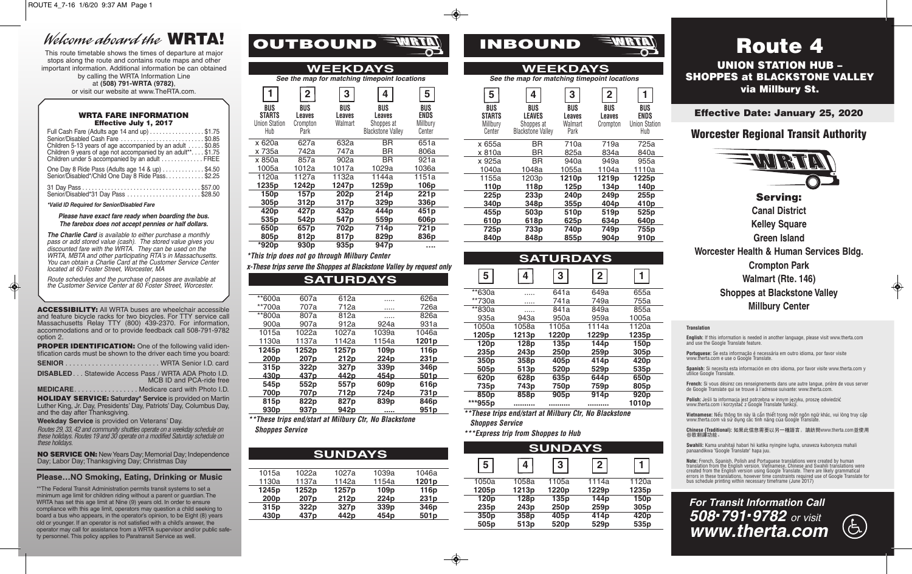# Welcome aboard the **WRTA!**

This route timetable shows the times of departure at major stops along the route and contains route maps and other important information. Additional information be can obtained by calling the WRTA Information Line at **(508) 791-WRTA (9782)**,

or visit our website at www.TheRTA.com.

### WRTA FARE INFORMATION Effective July 1, 2017

| Full Cash Fare (Adults age 14 and up) \$1.75<br>Senior/Disabled Cash Fare \$0.85<br>Children 5-13 years of age accompanied by an adult \$0.85<br>Children 9 years of age not accompanied by an adult**\$1.75<br>Children under 5 accompanied by an adult  FREE |  |
|----------------------------------------------------------------------------------------------------------------------------------------------------------------------------------------------------------------------------------------------------------------|--|
| One Day 8 Ride Pass (Adults age 14 & up) \$4.50<br>Senior/Disabled*/Child One Day 8 Ride Pass\$2.25                                                                                                                                                            |  |
| Senior/Disabled*31 Day Pass \$28.50                                                                                                                                                                                                                            |  |

**\*Valid ID Required for Senior/Disabled Fare**

**Please have exact fare ready when boarding the bus. The farebox does not accept pennies or half dollars.** 

**The Charlie Card** is available to either purchase a monthly pass or add stored value (cash). The stored value gives you discounted fare with the  $\dot{W}$ RTA. They can be used on the WRTA, MBTA and other participating RTA's in Massachusetts. You can obtain a Charlie Card at the Customer Service Center located at 60 Foster Street, Worcester, MA

Route schedules and the purchase of passes are available at the Customer Service Center at 60 Foster Street, Worcester.

ACCESSIBILITY: All WRTA buses are wheelchair accessible and feature bicycle racks for two bicycles. For TTY service call Massachusetts Relay TTY (800) 439-2370. For information, accommodations and or to provide feedback call 508-791-9782 option 2.

**PROPER IDENTIFICATION:** One of the following valid identification cards must be shown to the driver each time you board:

**SENIOR** . . . . . . . . . . . . . . . . . . . . . . . . . WRTA Senior I.D. card **DISABLED**. . . Statewide Access Pass / WRTA ADA Photo I.D. MCB ID and PCA-ride free

**MEDICARE**. . . . . . . . . . . . . . . . . Medicare card with Photo I.D.

HOLIDAY SERVICE: **Saturday\* Service** is provided on Martin Luther King, Jr. Day, Presidents' Day, Patriots' Day, Columbus Day, and the day after Thanksgiving.

**Weekday Service** is provided on Veterans' Day.

Routes 29, 33, 42 and community shuttles operate on a weekday schedule on these holidays. Routes 19 and 30 operate on a modified Saturday schedule on these holidays.

NO SERVICE ON: New Years Day; Memorial Day; Independence Day; Labor Day; Thanksgiving Day; Christmas Day

## **Please…NO Smoking, Eating, Drinking or Music**

\*\* The Federal Transit Administration permits transit systems to set a minimum age limit for children riding without a parent or guardian. The WRTA has set this age limit at Nine (9) years old. In order to ensure compliance with this age limit, operators may question a child seeking to board a bus who appears, in the operator's opinion, to be Eight (8) years old or younger. If an operator is not satisfied with a child's answer, the operator may call for assistance from a WRTA supervisor and/or public safety personnel. This policy applies to Paratransit Service as well.

| <b>WEEKDAYS</b><br>WEEKDAYS<br>See the map for matching timepoint locations<br>See the map for matching timepoint locations<br>5<br>$\overline{2}$<br>3<br>5<br>4<br>3<br>$\overline{2}$<br>4<br><b>BUS</b><br>BUS<br><b>BUS</b><br>BUS<br><b>BUS</b><br>BUS<br>BUS<br><b>BUS</b><br>BUS<br><b>STARTS</b><br><b>ENDS</b><br><b>STARTS</b><br><b>LEAVES</b><br>Leaves<br>Leaves<br>Leaves<br>Leaves<br>Leaves<br><b>Union Station</b><br>Walmart<br>Millbury<br>Crompton<br>Shoppes at<br>Millbury<br>Walmart<br>Shoppes at<br>Crompton<br>Hub<br><b>Blackstone Valley</b><br>Park<br>Center<br><b>Blackstone Valley</b><br>Park<br>Center<br><b>BR</b><br>651a<br>x 620a<br>627a<br>632a<br>x 655a<br><b>BR</b><br>710a<br>719a<br>747a<br><b>BR</b><br>x 735a<br>742a<br>806a<br>x 810a<br><b>BR</b><br>825a<br>834a<br><b>BR</b><br>x 850a<br>857a<br>921a<br>902a<br><b>BR</b><br>x 925a<br>940a<br>949a<br>1005a<br>1012a<br>1017a<br>1036a<br>1029a<br>1040a<br>1048a<br>1104a<br>1055a<br>1120a<br>1127a<br>1132a<br>1144a<br>1151a<br>1155a<br>1203p<br>1210 <sub>p</sub><br>1219p<br>1235p<br>1242p<br>1247 <sub>p</sub><br>1259 <sub>p</sub><br>106p<br>110p<br>118p<br>125 <sub>p</sub><br>134 <sub>p</sub><br>150 <sub>p</sub><br>157 <sub>p</sub><br>202 <sub>p</sub><br>214 <sub>p</sub><br>221p<br>225 <sub>p</sub><br>233p<br>240 <sub>p</sub><br>249p<br>305 <sub>p</sub><br>312p<br>329 <sub>p</sub><br>317 <sub>p</sub><br>336p<br>340 <sub>p</sub><br>404 <sub>p</sub><br>348p<br>355 <sub>p</sub><br>420p<br>427p<br>432p<br>444p<br>451 <sub>p</sub><br>455p<br>503 <sub>p</sub><br>519 <sub>p</sub><br>510 <sub>p</sub><br>535 <sub>p</sub><br>542p<br>547 <sub>p</sub><br>559 <sub>p</sub><br>606p<br>610 <sub>p</sub><br>634 <sub>p</sub><br>618p<br>625 <sub>p</sub><br>650 <sub>p</sub><br>657p<br>702p<br>714p<br>721 <sub>p</sub><br>725 <sub>p</sub><br>733p<br>740p<br>749p<br>805 <sub>p</sub><br>812p<br>829p<br>836p<br>817 <sub>p</sub><br>840 <sub>p</sub><br>855p<br>904 <sub>p</sub><br>848p<br>*920p<br>930 <sub>p</sub><br>935 <sub>p</sub><br>947 <sub>p</sub><br> |  |  |  |  |  |  |            |
|------------------------------------------------------------------------------------------------------------------------------------------------------------------------------------------------------------------------------------------------------------------------------------------------------------------------------------------------------------------------------------------------------------------------------------------------------------------------------------------------------------------------------------------------------------------------------------------------------------------------------------------------------------------------------------------------------------------------------------------------------------------------------------------------------------------------------------------------------------------------------------------------------------------------------------------------------------------------------------------------------------------------------------------------------------------------------------------------------------------------------------------------------------------------------------------------------------------------------------------------------------------------------------------------------------------------------------------------------------------------------------------------------------------------------------------------------------------------------------------------------------------------------------------------------------------------------------------------------------------------------------------------------------------------------------------------------------------------------------------------------------------------------------------------------------------------------------------------------------------------------------------------------------------------------------------------------------------------------------------------------------------------------------------------------------------------------------------------------------|--|--|--|--|--|--|------------|
|                                                                                                                                                                                                                                                                                                                                                                                                                                                                                                                                                                                                                                                                                                                                                                                                                                                                                                                                                                                                                                                                                                                                                                                                                                                                                                                                                                                                                                                                                                                                                                                                                                                                                                                                                                                                                                                                                                                                                                                                                                                                                                            |  |  |  |  |  |  |            |
|                                                                                                                                                                                                                                                                                                                                                                                                                                                                                                                                                                                                                                                                                                                                                                                                                                                                                                                                                                                                                                                                                                                                                                                                                                                                                                                                                                                                                                                                                                                                                                                                                                                                                                                                                                                                                                                                                                                                                                                                                                                                                                            |  |  |  |  |  |  |            |
|                                                                                                                                                                                                                                                                                                                                                                                                                                                                                                                                                                                                                                                                                                                                                                                                                                                                                                                                                                                                                                                                                                                                                                                                                                                                                                                                                                                                                                                                                                                                                                                                                                                                                                                                                                                                                                                                                                                                                                                                                                                                                                            |  |  |  |  |  |  |            |
|                                                                                                                                                                                                                                                                                                                                                                                                                                                                                                                                                                                                                                                                                                                                                                                                                                                                                                                                                                                                                                                                                                                                                                                                                                                                                                                                                                                                                                                                                                                                                                                                                                                                                                                                                                                                                                                                                                                                                                                                                                                                                                            |  |  |  |  |  |  | Unio       |
|                                                                                                                                                                                                                                                                                                                                                                                                                                                                                                                                                                                                                                                                                                                                                                                                                                                                                                                                                                                                                                                                                                                                                                                                                                                                                                                                                                                                                                                                                                                                                                                                                                                                                                                                                                                                                                                                                                                                                                                                                                                                                                            |  |  |  |  |  |  |            |
|                                                                                                                                                                                                                                                                                                                                                                                                                                                                                                                                                                                                                                                                                                                                                                                                                                                                                                                                                                                                                                                                                                                                                                                                                                                                                                                                                                                                                                                                                                                                                                                                                                                                                                                                                                                                                                                                                                                                                                                                                                                                                                            |  |  |  |  |  |  |            |
|                                                                                                                                                                                                                                                                                                                                                                                                                                                                                                                                                                                                                                                                                                                                                                                                                                                                                                                                                                                                                                                                                                                                                                                                                                                                                                                                                                                                                                                                                                                                                                                                                                                                                                                                                                                                                                                                                                                                                                                                                                                                                                            |  |  |  |  |  |  | $\ddagger$ |
|                                                                                                                                                                                                                                                                                                                                                                                                                                                                                                                                                                                                                                                                                                                                                                                                                                                                                                                                                                                                                                                                                                                                                                                                                                                                                                                                                                                                                                                                                                                                                                                                                                                                                                                                                                                                                                                                                                                                                                                                                                                                                                            |  |  |  |  |  |  |            |
|                                                                                                                                                                                                                                                                                                                                                                                                                                                                                                                                                                                                                                                                                                                                                                                                                                                                                                                                                                                                                                                                                                                                                                                                                                                                                                                                                                                                                                                                                                                                                                                                                                                                                                                                                                                                                                                                                                                                                                                                                                                                                                            |  |  |  |  |  |  |            |
|                                                                                                                                                                                                                                                                                                                                                                                                                                                                                                                                                                                                                                                                                                                                                                                                                                                                                                                                                                                                                                                                                                                                                                                                                                                                                                                                                                                                                                                                                                                                                                                                                                                                                                                                                                                                                                                                                                                                                                                                                                                                                                            |  |  |  |  |  |  |            |
|                                                                                                                                                                                                                                                                                                                                                                                                                                                                                                                                                                                                                                                                                                                                                                                                                                                                                                                                                                                                                                                                                                                                                                                                                                                                                                                                                                                                                                                                                                                                                                                                                                                                                                                                                                                                                                                                                                                                                                                                                                                                                                            |  |  |  |  |  |  |            |

OUTBOUND<sup>EMR</sup>

**\*This trip does not go through Milbury Center**

**SATURDAYS x-These trips serve the Shoppes at Blackstone Valley by request only**

| **600a           | 607a             | 612a             | .                | 626a              |
|------------------|------------------|------------------|------------------|-------------------|
| **700a           | 707a             | 712a             |                  | 726a              |
| **800a           | 807a             | 812a             | .                | 826a              |
| 900a             | 907a             | 912a             | 924a             | 931a              |
| 1015a            | 1022a            | 1027a            | 1039a            | 1046a             |
| 1130a            | 1137a            | 1142a            | 1154a            | 1201 <sub>p</sub> |
| 1245p            | 1252p            | 1257p            | 109 <sub>p</sub> | 116 <sub>p</sub>  |
| 200 <sub>p</sub> | 207 <sub>p</sub> | 212 <sub>p</sub> | 224 <sub>p</sub> | 231 <sub>p</sub>  |
| 315 <sub>p</sub> | 322p             | 327 <sub>p</sub> | 339 <sub>p</sub> | 346 <sub>p</sub>  |
| <u>430p</u>      | 437p             | 442p             | <u>454p</u>      | <u>501p</u>       |
| 545 <sub>p</sub> | 552p             | 557 <sub>p</sub> | 609 <sub>p</sub> | 616p              |
| 700p             | 707 <sub>p</sub> | 712p             | 724p             | 731p              |
| 815p             | 822p             | 827p             | 839p             | 846p              |
| 930 <sub>p</sub> | 937 <sub>p</sub> | 942p             |                  | 951p              |

**\*\*These trips end/start at Milbury Ctr, No Blackstone Shoppes Service**

Ï

|                  |                  | <b>SUNDAYS</b>   |                  |                   |
|------------------|------------------|------------------|------------------|-------------------|
|                  |                  |                  |                  |                   |
| 1015a            | 1022a            | 1027a            | 1039a            | 1046a             |
| 1130a            | 1137a            | 1142a            | 1154a            | 1201 <sub>p</sub> |
| 1245p            | 1252p            | 1257p            | 109 <sub>p</sub> | 116 <sub>p</sub>  |
| 200 <sub>p</sub> | 207 <sub>p</sub> | 212 <sub>p</sub> | 224 <sub>p</sub> | 231p              |
| 315 <sub>p</sub> | 322p             | 327p             | 339p             | 346 <sub>p</sub>  |
| 430 <sub>p</sub> | 437 <sub>p</sub> | 442p             | 454 <sub>p</sub> | 501 <sub>p</sub>  |
|                  |                  |                  |                  |                   |

| INBOUND |  |
|---------|--|

| WEEKDAYS             |                                              |                   |                  |                             |  |  |  |  |  |
|----------------------|----------------------------------------------|-------------------|------------------|-----------------------------|--|--|--|--|--|
|                      | See the map for matching timepoint locations |                   |                  |                             |  |  |  |  |  |
| 5                    | 2<br>3                                       |                   |                  |                             |  |  |  |  |  |
| BUS<br><b>STARTS</b> | BUS<br><b>LEAVES</b>                         | BUS<br>Leaves     | BUS<br>Leaves    | BUS<br>ENDS                 |  |  |  |  |  |
| Millbury<br>Center   | Shoppes at<br><b>Blackstone Valley</b>       | Walmart<br>Park   | Crompton         | <b>Union Station</b><br>Hub |  |  |  |  |  |
| x 655a               | BR                                           | 710a              | 719a             | 725a                        |  |  |  |  |  |
| x 810a               | ΒR                                           | 825a              | 834a             | 840a                        |  |  |  |  |  |
| x 925a               | ΒR                                           | 940a              | 949a             | 955a                        |  |  |  |  |  |
| 1040a                | 1048a                                        | 1055a             | 1104a            | 1110a                       |  |  |  |  |  |
| 1155a                | 1203p                                        | 1210 <sub>p</sub> | 1219p            | 1225p                       |  |  |  |  |  |
| 110 <sub>p</sub>     | 118p                                         | 125 <sub>p</sub>  | 134p             | 140 <sub>p</sub>            |  |  |  |  |  |
| 225 <sub>p</sub>     | 233p                                         | 240 <sub>p</sub>  | 249p             | 255p                        |  |  |  |  |  |
| 340 <sub>p</sub>     | 348p                                         | 355p              | 404 <sub>p</sub> | 410p                        |  |  |  |  |  |
| 455p                 | 503 <sub>p</sub>                             | 510 <sub>p</sub>  | 519 <sub>p</sub> | 525 <sub>p</sub>            |  |  |  |  |  |
| 610p                 | 618p                                         | 625p              | 634p             | 640 <sub>p</sub>            |  |  |  |  |  |
| 725p                 | 733p                                         | 740p              | 749p             | 755p                        |  |  |  |  |  |
| 840p                 | 848p                                         | 855p              | 904 <sub>p</sub> | 910p                        |  |  |  |  |  |

| <b>SATURDAYS</b>  |                  |                   |                   |                   |  |  |  |
|-------------------|------------------|-------------------|-------------------|-------------------|--|--|--|
| 5                 | 4                | 3                 | $\overline{2}$    |                   |  |  |  |
| $*$ 630a          |                  | 641a              | 649a              | 655a              |  |  |  |
| **730a            |                  | 741a              | 749a              | 755a              |  |  |  |
| **830a            |                  | 841a              | 849a              | 855a              |  |  |  |
| 935a              | 943a             | 950a              | 959a              | 1005a             |  |  |  |
| 1050a             | 1058a            | 1105a             | 1114a             | 1120a             |  |  |  |
| 1205 <sub>p</sub> | 1213p            | 1220 <sub>p</sub> | 1229 <sub>p</sub> | 1235p             |  |  |  |
| 120 <sub>p</sub>  | 128 <sub>p</sub> | 135p              | 144 <sub>p</sub>  | 150 <sub>p</sub>  |  |  |  |
| 235 <sub>p</sub>  | 243 <sub>p</sub> | 250p              | 259 <sub>p</sub>  | 305 <sub>p</sub>  |  |  |  |
| 350 <sub>p</sub>  | 358p             | 405 <sub>p</sub>  | 414p              | 420 <sub>p</sub>  |  |  |  |
| 505 <sub>p</sub>  | 513 <sub>p</sub> | 520 <sub>p</sub>  | 529 <sub>p</sub>  | 535 <sub>p</sub>  |  |  |  |
| 620 <sub>p</sub>  | 628p             | 635 <sub>p</sub>  | 644p              | 650 <sub>p</sub>  |  |  |  |
| 735 <sub>p</sub>  | 743 <sub>p</sub> | 750 <sub>p</sub>  | 759 <sub>p</sub>  | 805p              |  |  |  |
| 850 <sub>p</sub>  | 858p             | 905 <sub>p</sub>  | 914 <sub>p</sub>  | 920 <sub>p</sub>  |  |  |  |
| ***955p           |                  |                   |                   | 1010 <sub>p</sub> |  |  |  |

**\*\*These trips end/start at Milbury Ctr, No Blackstone Shoppes Service**

**\*\*\*Express trip from Shoppes to Hub**

|   | <b>SUNDAYS</b>   |                  |                   |                   |                   | <b>SUNDAYS</b>    |                   |                  |
|---|------------------|------------------|-------------------|-------------------|-------------------|-------------------|-------------------|------------------|
|   |                  |                  |                   | 5                 | 4                 | 3                 | $\overline{2}$    |                  |
| a | 1027a            | 1039a            | 1046a             |                   |                   |                   |                   |                  |
| a | 1142a            | 1154a            | 1201 <sub>p</sub> | 1050a             | 1058a             | 1105a             | 1114a             | 1120a            |
|   | 1257p            | 109p             | 116p              | 1205 <sub>p</sub> | 1213 <sub>p</sub> | 1220 <sub>p</sub> | 1229 <sub>p</sub> | 1235p            |
|   | 212 <sub>p</sub> | 224 <sub>p</sub> | 231 <sub>p</sub>  | 120 <sub>p</sub>  | 128 <sub>p</sub>  | 135 <sub>p</sub>  | 144 <sub>p</sub>  | 150 <sub>p</sub> |
|   | 327 <sub>p</sub> | 339 <sub>p</sub> | 346 <sub>p</sub>  | 235 <sub>p</sub>  | 243 <sub>p</sub>  | 250 <sub>p</sub>  | 259 <sub>p</sub>  | 305p             |
|   | 442p             | 454 <sub>p</sub> | 501 <sub>p</sub>  | 350 <sub>p</sub>  | 358p              | 405 <sub>p</sub>  | 414 <sub>p</sub>  | 420 <sub>p</sub> |
|   |                  |                  |                   | 505 <sub>p</sub>  | 513 <sub>p</sub>  | 520 <sub>p</sub>  | 529 <sub>p</sub>  | 535 <sub>p</sub> |
|   |                  |                  |                   |                   |                   |                   |                   |                  |

# Route 4

UNION STATION HUB – SHOPPES at BLACKSTONE VALLEY via Millbury St.

Effective Date: January 25, 2020

Worcester Regional Transit Authority



Serving: **Canal District**

**Kelley Square**

**Green Island**

**Worcester Health & Human Services Bldg. Crompton Park Walmart (Rte. 146)**

**Shoppes at Blackstone Valley Millbury Center**

#### **Translation**

**English:** If this information is needed in another language, please visit www.therta.com and use the Google Translate feature.

**Portuguese:** Se esta informação é necessária em outro idioma, por favor visite www.therta.com e use o Google Translate.

**Spanish:** Si necesita esta información en otro idioma, por favor visite www.therta.com y utilice Google Translate.

**French:** Si vous désirez ces renseignements dans une autre langue, prière de vous server<br>de Google Translate qui se trouve à l'adresse suivante: www.therta.com.

**Polish:** Jeśli ta informacja jest potrzebna w innym języku, proszę odwiedzić www.therta.com i korzystać z Google Translate funkcji.

**Vietnamese:** Nếu thông tin này là cần thiết trong một ngôn ngữ khác, vui lòng truy cập www.therta.com và sử dụng các tính năng của Google Translate.

Chinese (Traditional): 如果此信息需要以另一種語言, 請訪問www.therta.com並使用 谷歌翻譯功能。

**Swahili:** Kama unahitaji habari hii katika nyingine lugha, unaweza kubonyeza mahali panaandikwa "Google Translate" hapa juu.

**Note:** French, Spanish, Polish and Portuguese translations were created by human translation from the English version. Vietnamese, Chinese and Swahili translations were created from the English version using Google Translate. There are likely grammatical errors in these translations, however time constraints required use of Google Translate for bus schedule printing within necessary timeframe (June 2017)